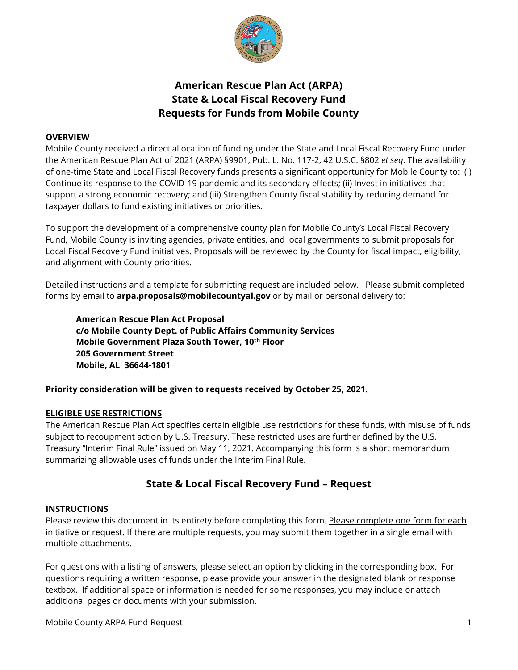

# **American Rescue Plan Act (ARPA) State & Local Fiscal Recovery Fund Requests for Funds from Mobile County**

## **OVERVIEW**

Mobile County received a direct allocation of funding under the State and Local Fiscal Recovery Fund under the American Rescue Plan Act of 2021 (ARPA) §9901, Pub. L. No. 117-2, 42 U.S.C. §802 *et seq*. The availability of one-time State and Local Fiscal Recovery funds presents a significant opportunity for Mobile County to: (i) Continue its response to the COVID-19 pandemic and its secondary effects; (ii) Invest in initiatives that support a strong economic recovery; and (iii) Strengthen County fiscal stability by reducing demand for taxpayer dollars to fund existing initiatives or priorities.

To support the development of a comprehensive county plan for Mobile County's Local Fiscal Recovery Fund, Mobile County is inviting agencies, private entities, and local governments to submit proposals for Local Fiscal Recovery Fund initiatives. Proposals will be reviewed by the County for fiscal impact, eligibility, and alignment with County priorities.

Detailed instructions and a template for submitting request are included below. Please submit completed forms by email to **arpa.proposals@mobilecountyal.gov** or by mail or personal delivery to:

**American Rescue Plan Act Proposal c/o Mobile County Dept. of Public Affairs Community Services Mobile Government Plaza South Tower, 10th Floor 205 Government Street Mobile, AL 36644-1801**

**Priority consideration will be given to requests received by October 25, 2021**.

# **ELIGIBLE USE RESTRICTIONS**

The American Rescue Plan Act specifies certain eligible use restrictions for these funds, with misuse of funds subject to recoupment action by U.S. Treasury. These restricted uses are further defined by the U.S. Treasury "Interim Final Rule" issued on May 11, 2021. Accompanying this form is a short memorandum summarizing allowable uses of funds under the Interim Final Rule.

# **State & Local Fiscal Recovery Fund – Request**

#### **INSTRUCTIONS**

Please review this document in its entirety before completing this form. Please complete one form for each initiative or request. If there are multiple requests, you may submit them together in a single email with multiple attachments.

For questions with a listing of answers, please select an option by clicking in the corresponding box. For questions requiring a written response, please provide your answer in the designated blank or response textbox. If additional space or information is needed for some responses, you may include or attach additional pages or documents with your submission.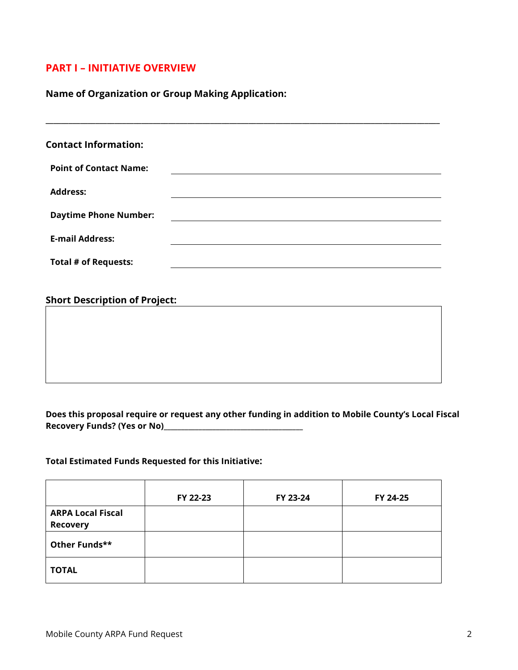# **PART I – INITIATIVE OVERVIEW**

# **Name of Organization or Group Making Application:**

| <b>Contact Information:</b>          |  |
|--------------------------------------|--|
| <b>Point of Contact Name:</b>        |  |
| <b>Address:</b>                      |  |
| <b>Daytime Phone Number:</b>         |  |
| <b>E-mail Address:</b>               |  |
| <b>Total # of Requests:</b>          |  |
|                                      |  |
| <b>Short Description of Project:</b> |  |
|                                      |  |
|                                      |  |
|                                      |  |
|                                      |  |
|                                      |  |

**\_\_\_\_\_\_\_\_\_\_\_\_\_\_\_\_\_\_\_\_\_\_\_\_\_\_\_\_\_\_\_\_\_\_\_\_\_\_\_\_\_\_\_\_\_\_\_\_\_\_\_\_\_\_\_\_\_\_\_\_\_\_\_\_\_\_\_\_\_\_\_\_\_\_\_\_\_\_\_\_\_\_\_\_\_\_\_\_\_\_\_\_\_\_\_\_\_\_\_\_\_\_\_**

# **Does this proposal require or request any other funding in addition to Mobile County's Local Fiscal Recovery Funds? (Yes or No)\_\_\_\_\_\_\_\_\_\_\_\_\_\_\_\_\_\_\_\_\_\_\_\_\_\_\_\_\_\_\_\_\_\_\_\_\_\_\_\_**

## **Total Estimated Funds Requested for this Initiative:**

|                                             | FY 22-23 | FY 23-24 | FY 24-25 |
|---------------------------------------------|----------|----------|----------|
| <b>ARPA Local Fiscal</b><br><b>Recovery</b> |          |          |          |
| Other Funds**                               |          |          |          |
| <b>TOTAL</b>                                |          |          |          |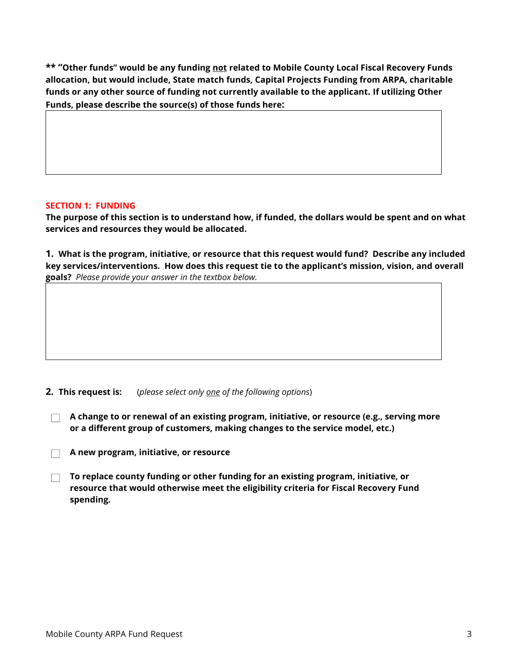**\*\* "Other funds" would be any funding not related to Mobile County Local Fiscal Recovery Funds allocation, but would include, State match funds, Capital Projects Funding from ARPA, charitable funds or any other source of funding not currently available to the applicant. If utilizing Other Funds, please describe the source(s) of those funds here:**

## **SECTION 1: FUNDING**

**The purpose of this section is to understand how, if funded, the dollars would be spent and on what services and resources they would be allocated.**

**1. What is the program, initiative, or resource that this request would fund? Describe any included key services/interventions. How does this request tie to the applicant's mission, vision, and overall goals?** *Please provide your answer in the textbox below.* 

**2. This request is:** (*please select only one of the following options*)

- **A change to or renewal of an existing program, initiative, or resource (e.g., serving more**   $\Box$ **or a different group of customers, making changes to the service model, etc.)**
- **A new program, initiative, or resource**
- **To replace county funding or other funding for an existing program, initiative, or resource that would otherwise meet the eligibility criteria for Fiscal Recovery Fund spending.**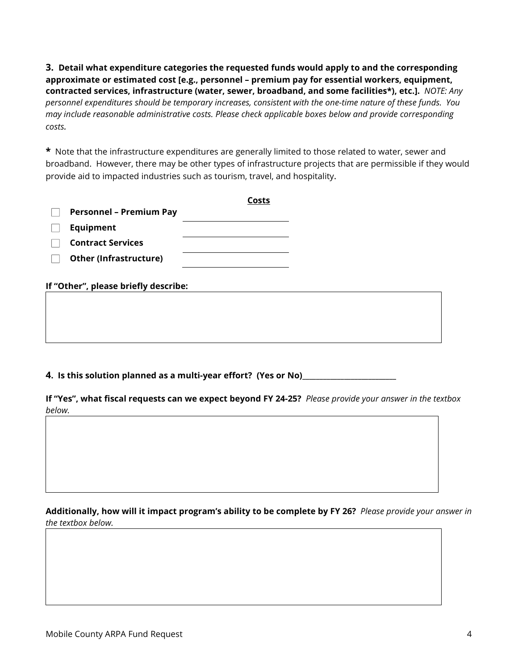**3. Detail what expenditure categories the requested funds would apply to and the corresponding approximate or estimated cost [e.g., personnel – premium pay for essential workers, equipment, contracted services, infrastructure (water, sewer, broadband, and some facilities\*), etc.].** *NOTE: Any personnel expenditures should be temporary increases, consistent with the one-time nature of these funds. You may include reasonable administrative costs. Please check applicable boxes below and provide corresponding costs.*

**\*** Note that the infrastructure expenditures are generally limited to those related to water, sewer and broadband. However, there may be other types of infrastructure projects that are permissible if they would provide aid to impacted industries such as tourism, travel, and hospitality.

|                                      | Costs |  |
|--------------------------------------|-------|--|
| <b>Personnel - Premium Pay</b>       |       |  |
| Equipment                            |       |  |
| <b>Contract Services</b>             |       |  |
| <b>Other (Infrastructure)</b>        |       |  |
| If "Other", please briefly describe: |       |  |
|                                      |       |  |
|                                      |       |  |
|                                      |       |  |

**4. Is this solution planned as a multi-year effort? (Yes or No)\_\_\_\_\_\_\_\_\_\_\_\_\_\_\_\_\_\_\_\_\_\_\_\_\_\_\_**

**If "Yes", what fiscal requests can we expect beyond FY 24-25?** *Please provide your answer in the textbox below.* 

**Additionally, how will it impact program's ability to be complete by FY 26?** *Please provide your answer in the textbox below.*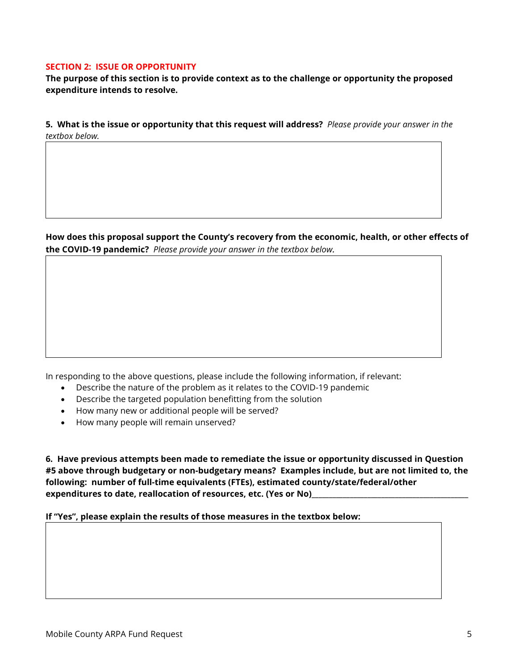#### **SECTION 2: ISSUE OR OPPORTUNITY**

**The purpose of this section is to provide context as to the challenge or opportunity the proposed expenditure intends to resolve.**

**5. What is the issue or opportunity that this request will address?** *Please provide your answer in the textbox below.*

**How does this proposal support the County's recovery from the economic, health, or other effects of the COVID-19 pandemic?** *Please provide your answer in the textbox below.* 

In responding to the above questions, please include the following information, if relevant:

- Describe the nature of the problem as it relates to the COVID-19 pandemic
- Describe the targeted population benefitting from the solution
- How many new or additional people will be served?
- How many people will remain unserved?

**6. Have previous attempts been made to remediate the issue or opportunity discussed in Question #5 above through budgetary or non-budgetary means? Examples include, but are not limited to, the following: number of full-time equivalents (FTEs), estimated county/state/federal/other**  expenditures to date, reallocation of resources, etc. (Yes or No)

**If "Yes", please explain the results of those measures in the textbox below:**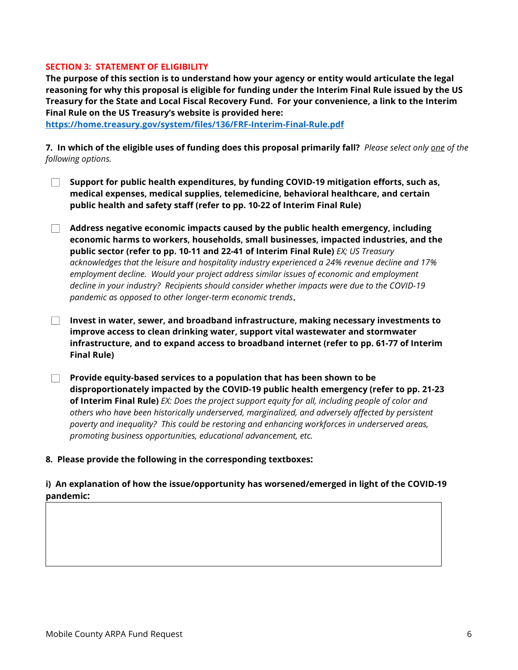#### **SECTION 3: STATEMENT OF ELIGIBILITY**

**The purpose of this section is to understand how your agency or entity would articulate the legal reasoning for why this proposal is eligible for funding under the Interim Final Rule issued by the US Treasury for the State and Local Fiscal Recovery Fund. For your convenience, a link to the Interim Final Rule on the US Treasury's website is provided here:**

**<https://home.treasury.gov/system/files/136/FRF-Interim-Final-Rule.pdf>**

**7. In which of the eligible uses of funding does this proposal primarily fall?** *Please select only one of the following options.*

- **Support for public health expenditures, by funding COVID-19 mitigation efforts, such as, medical expenses, medical supplies, telemedicine, behavioral healthcare, and certain public health and safety staff (refer to pp. 10-22 of Interim Final Rule)**
- **Address negative economic impacts caused by the public health emergency, including economic harms to workers, households, small businesses, impacted industries, and the public sector (refer to pp. 10-11 and 22-41 of Interim Final Rule)** *EX; US Treasury acknowledges that the leisure and hospitality industry experienced a 24% revenue decline and 17% employment decline. Would your project address similar issues of economic and employment decline in your industry? Recipients should consider whether impacts were due to the COVID-19 pandemic as opposed to other longer-term economic trends*.
- **Invest in water, sewer, and broadband infrastructure, making necessary investments to improve access to clean drinking water, support vital wastewater and stormwater infrastructure, and to expand access to broadband internet (refer to pp. 61-77 of Interim Final Rule)**
- **Provide equity-based services to a population that has been shown to be disproportionately impacted by the COVID-19 public health emergency (refer to pp. 21-23 of Interim Final Rule)** *EX: Does the project support equity for all, including people of color and others who have been historically underserved, marginalized, and adversely affected by persistent poverty and inequality? This could be restoring and enhancing workforces in underserved areas, promoting business opportunities, educational advancement, etc.*

#### **8. Please provide the following in the corresponding textboxes:**

### **i) An explanation of how the issue/opportunity has worsened/emerged in light of the COVID-19 pandemic:**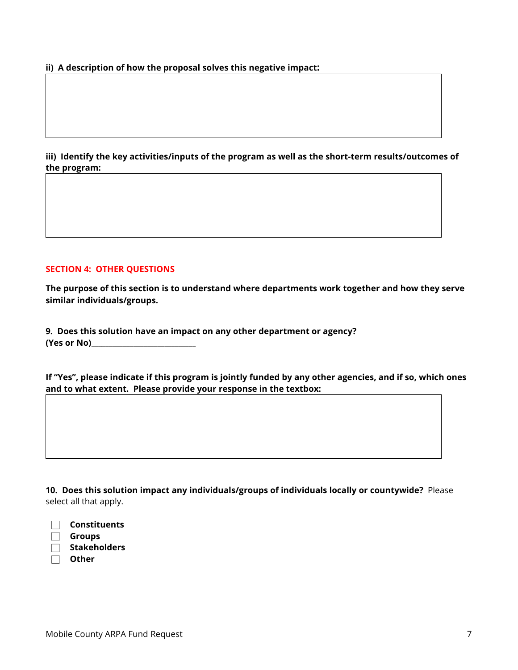**ii) A description of how the proposal solves this negative impact:**

**iii) Identify the key activities/inputs of the program as well as the short-term results/outcomes of the program:**

#### **SECTION 4: OTHER QUESTIONS**

**The purpose of this section is to understand where departments work together and how they serve similar individuals/groups.**

**9. Does this solution have an impact on any other department or agency? (Yes or No)\_\_\_\_\_\_\_\_\_\_\_\_\_\_\_\_\_\_\_\_\_\_\_\_\_\_\_\_\_\_**

**If "Yes", please indicate if this program is jointly funded by any other agencies, and if so, which ones and to what extent. Please provide your response in the textbox:**

**10. Does this solution impact any individuals/groups of individuals locally or countywide?** Please select all that apply.

| Constituents        |
|---------------------|
| Groups              |
| <b>Stakeholders</b> |

 $\Box$ **Other**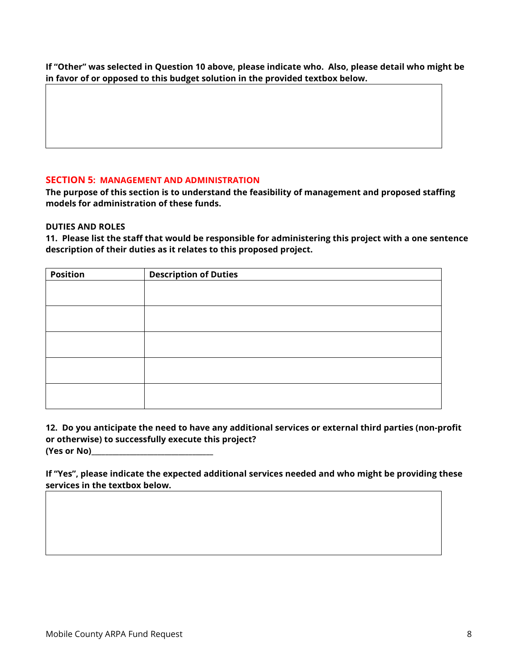**If "Other" was selected in Question 10 above, please indicate who. Also, please detail who might be in favor of or opposed to this budget solution in the provided textbox below.**

# **SECTION 5: MANAGEMENT AND ADMINISTRATION**

**The purpose of this section is to understand the feasibility of management and proposed staffing models for administration of these funds.**

### **DUTIES AND ROLES**

**11. Please list the staff that would be responsible for administering this project with a one sentence description of their duties as it relates to this proposed project.**

| <b>Position</b> | <b>Description of Duties</b> |
|-----------------|------------------------------|
|                 |                              |
|                 |                              |
|                 |                              |
|                 |                              |
|                 |                              |
|                 |                              |
|                 |                              |
|                 |                              |
|                 |                              |
|                 |                              |

**12. Do you anticipate the need to have any additional services or external third parties (non-profit or otherwise) to successfully execute this project? (Yes or No)\_\_\_\_\_\_\_\_\_\_\_\_\_\_\_\_\_\_\_\_\_\_\_\_\_\_\_\_\_\_\_\_\_\_\_**

**If "Yes", please indicate the expected additional services needed and who might be providing these services in the textbox below.**